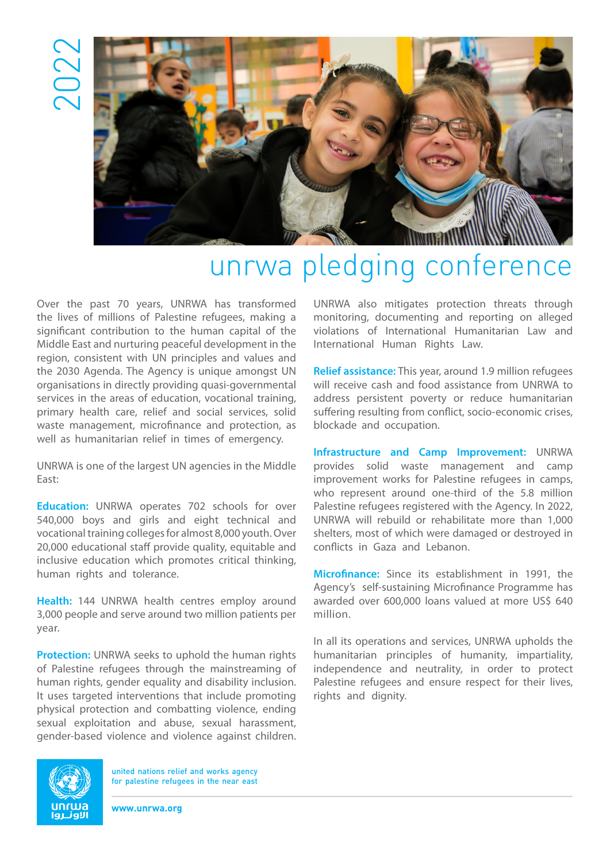2022



## unrwa pledging conference

Over the past 70 years, UNRWA has transformed the lives of millions of Palestine refugees, making a significant contribution to the human capital of the Middle East and nurturing peaceful development in the region, consistent with UN principles and values and the 2030 Agenda. The Agency is unique amongst UN organisations in directly providing quasi-governmental services in the areas of education, vocational training, primary health care, relief and social services, solid waste management, microfinance and protection, as well as humanitarian relief in times of emergency.

UNRWA is one of the largest UN agencies in the Middle East:

**Education:** UNRWA operates 702 schools for over 540,000 boys and girls and eight technical and vocational training colleges for almost 8,000 youth. Over 20,000 educational staff provide quality, equitable and inclusive education which promotes critical thinking, human rights and tolerance.

**Health:** 144 UNRWA health centres employ around 3,000 people and serve around two million patients per year.

**Protection:** UNRWA seeks to uphold the human rights of Palestine refugees through the mainstreaming of human rights, gender equality and disability inclusion. It uses targeted interventions that include promoting physical protection and combatting violence, ending sexual exploitation and abuse, sexual harassment, gender-based violence and violence against children.

UNRWA also mitigates protection threats through monitoring, documenting and reporting on alleged violations of International Humanitarian Law and International Human Rights Law.

**Relief assistance:** This year, around 1.9 million refugees will receive cash and food assistance from UNRWA to address persistent poverty or reduce humanitarian suffering resulting from conflict, socio-economic crises, blockade and occupation.

**Infrastructure and Camp Improvement:** UNRWA provides solid waste management and camp improvement works for Palestine refugees in camps, who represent around one-third of the 5.8 million Palestine refugees registered with the Agency. In 2022, UNRWA will rebuild or rehabilitate more than 1,000 shelters, most of which were damaged or destroyed in conflicts in Gaza and Lebanon.

**Microfinance:** Since its establishment in 1991, the Agency's self-sustaining Microfinance Programme has awarded over 600,000 loans valued at more US\$ 640 million.

In all its operations and services, UNRWA upholds the humanitarian principles of humanity, impartiality, independence and neutrality, in order to protect Palestine refugees and ensure respect for their lives, rights and dignity.



united nations relief and works agency for palestine refugees in the near east

**www.unrwa.org**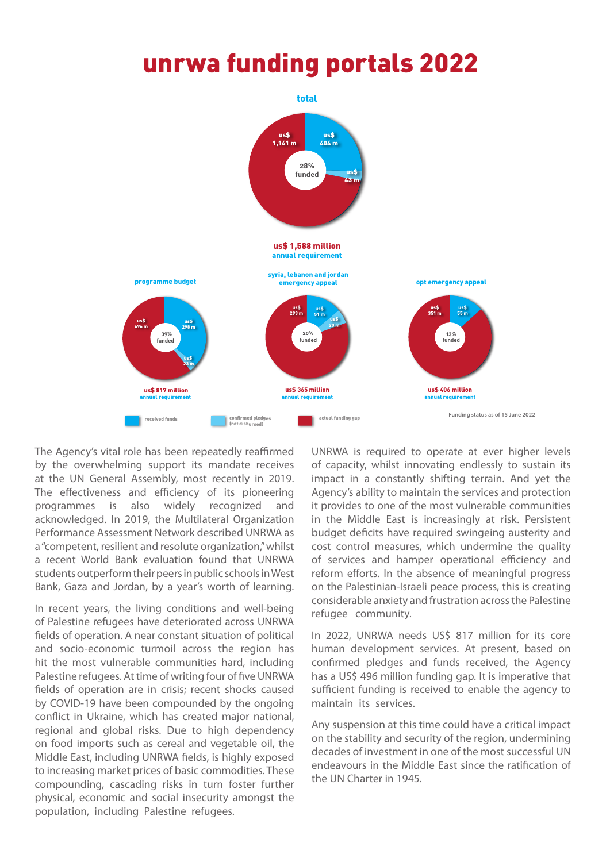## unrwa funding portals 2022



The Agency's vital role has been repeatedly reaffirmed by the overwhelming support its mandate receives at the UN General Assembly, most recently in 2019. The effectiveness and efficiency of its pioneering programmes is also widely recognized and acknowledged. In 2019, the Multilateral Organization Performance Assessment Network described UNRWA as a "competent, resilient and resolute organization," whilst a recent World Bank evaluation found that UNRWA students outperform their peers in public schools in West Bank, Gaza and Jordan, by a year's worth of learning.

In recent years, the living conditions and well-being of Palestine refugees have deteriorated across UNRWA fields of operation. A near constant situation of political and socio-economic turmoil across the region has hit the most vulnerable communities hard, including Palestine refugees. At time of writing four of five UNRWA fields of operation are in crisis; recent shocks caused by COVID-19 have been compounded by the ongoing conflict in Ukraine, which has created major national, regional and global risks. Due to high dependency on food imports such as cereal and vegetable oil, the Middle East, including UNRWA fields, is highly exposed to increasing market prices of basic commodities. These compounding, cascading risks in turn foster further physical, economic and social insecurity amongst the population, including Palestine refugees.

UNRWA is required to operate at ever higher levels of capacity, whilst innovating endlessly to sustain its impact in a constantly shifting terrain. And yet the Agency's ability to maintain the services and protection it provides to one of the most vulnerable communities in the Middle East is increasingly at risk. Persistent budget deficits have required swingeing austerity and cost control measures, which undermine the quality of services and hamper operational efficiency and reform efforts. In the absence of meaningful progress on the Palestinian-Israeli peace process, this is creating considerable anxiety and frustration across the Palestine refugee community.

In 2022, UNRWA needs US\$ 817 million for its core human development services. At present, based on confirmed pledges and funds received, the Agency has a US\$ 496 million funding gap. It is imperative that sufficient funding is received to enable the agency to maintain its services.

Any suspension at this time could have a critical impact on the stability and security of the region, undermining decades of investment in one of the most successful UN endeavours in the Middle East since the ratification of the UN Charter in 1945.